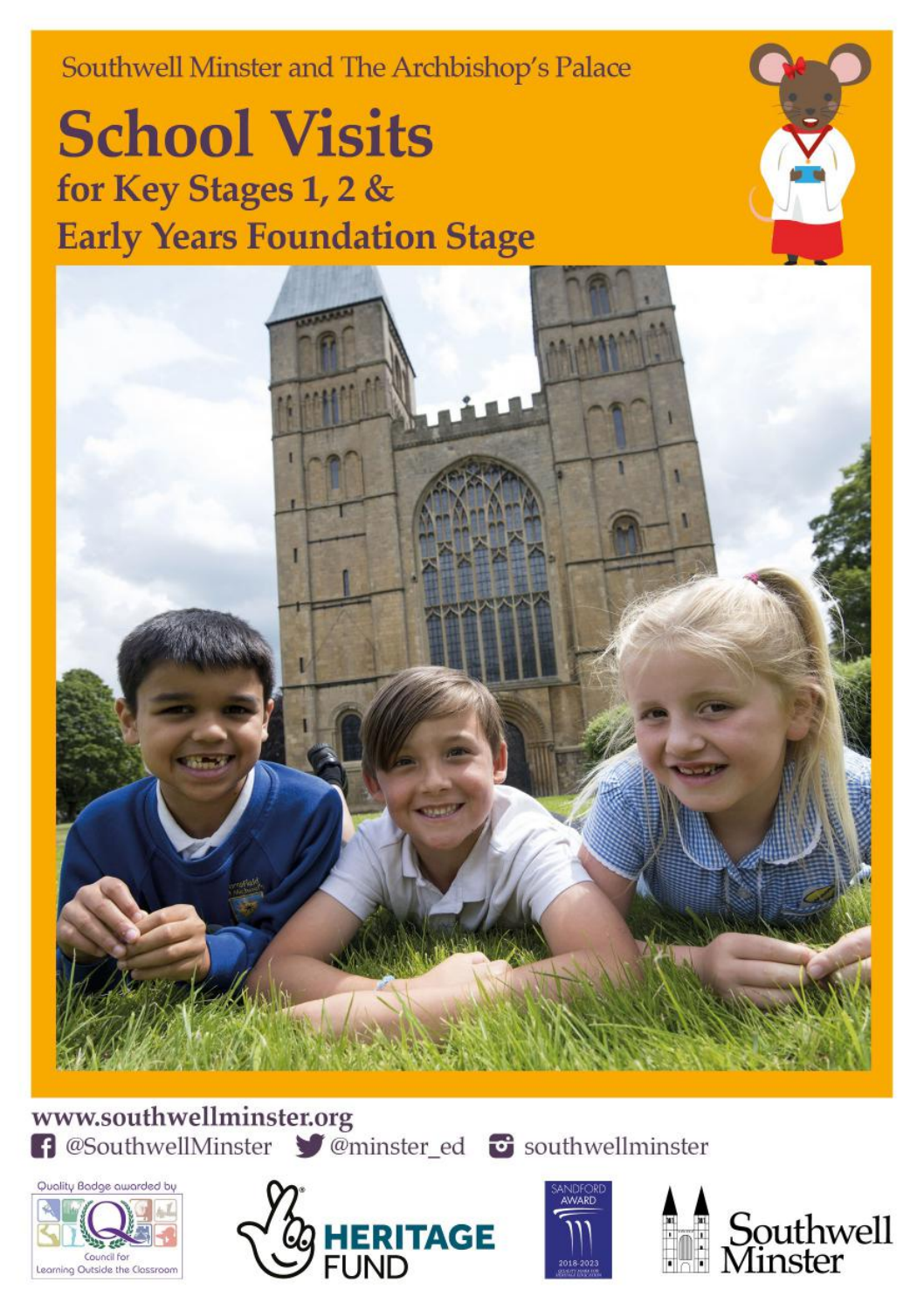Southwell Minster and The Archbishop's Palace

**School Visits** for Key Stages 1, 2 & **Early Years Foundation Stage** 



www.southwellminster.org f @SouthwellMinster *of* @minster\_ed **of** southwellminster







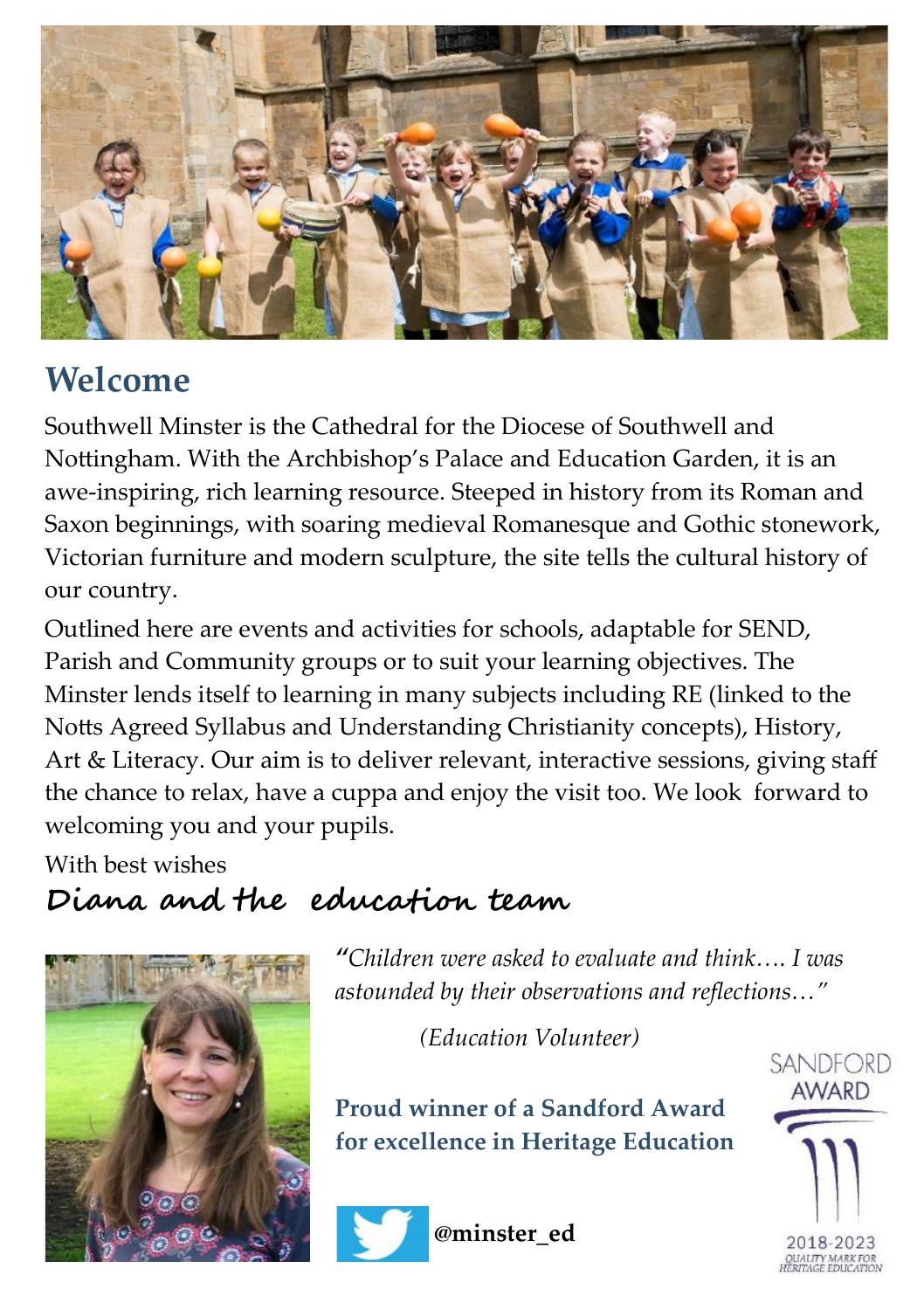

## **Welcome**

Southwell Minster is the Cathedral for the Diocese of Southwell and Nottingham. With the Archbishop's Palace and Education Garden, it is an awe-inspiring, rich learning resource. Steeped in history from its Roman and Saxon beginnings, with soaring medieval Romanesque and Gothic stonework, Victorian furniture and modern sculpture, the site tells the cultural history of our country.

Outlined here are events and activities for schools, adaptable for SEND, Parish and Community groups or to suit your learning objectives. The Minster lends itself to learning in many subjects including RE (linked to the Notts Agreed Syllabus and Understanding Christianity concepts), History, Art & Literacy. Our aim is to deliver relevant, interactive sessions, giving staff the chance to relax, have a cuppa and enjoy the visit too. We look forward to welcoming you and your pupils.

With best wishes

**Diana and the education team** 



*"Children were asked to evaluate and think…. I was astounded by their observations and reflections…"* 

 *(Education Volunteer)*

**Proud winner of a Sandford Award for excellence in Heritage Education**



**@minster\_ed**

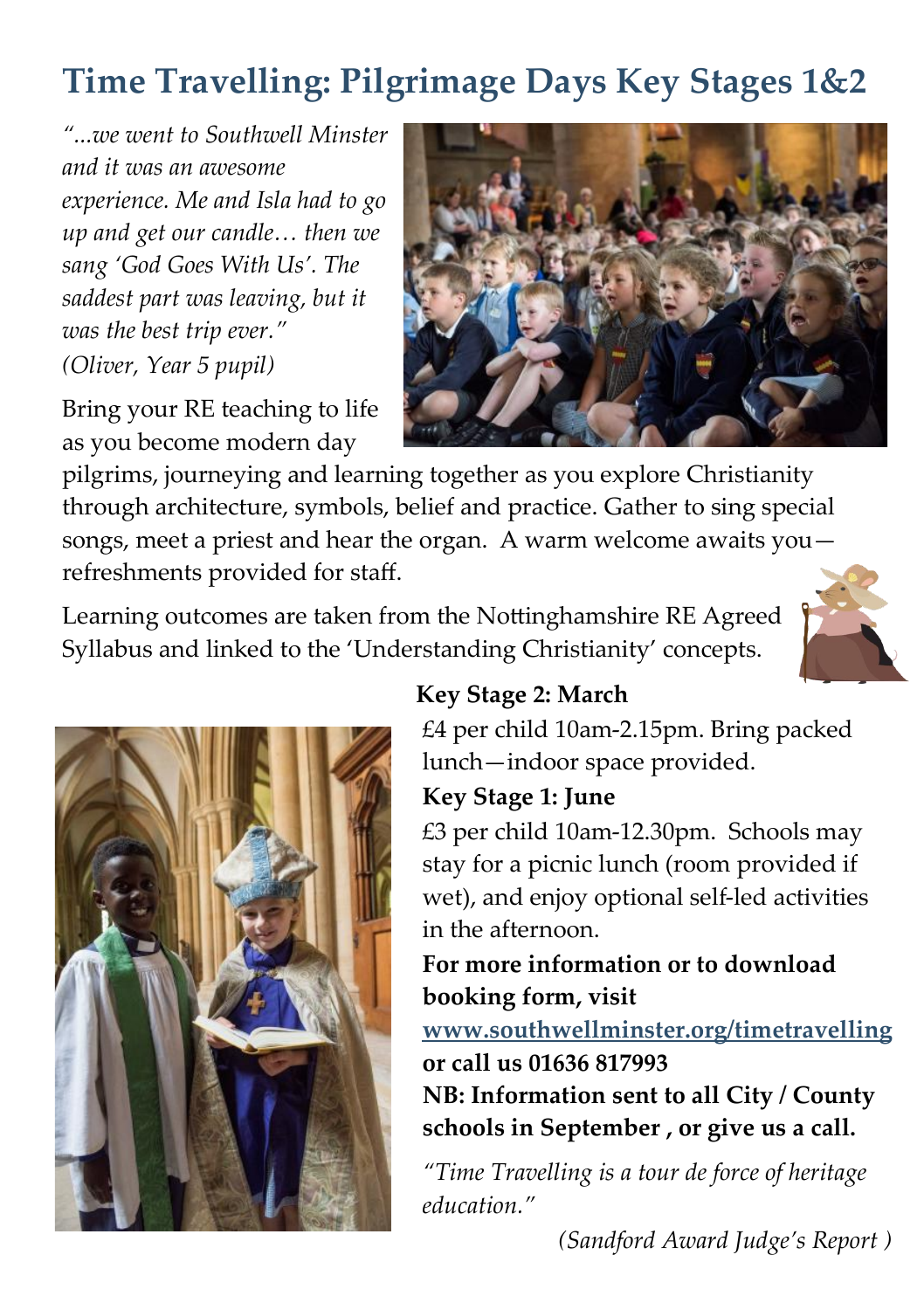# **Time Travelling: Pilgrimage Days Key Stages 1&2**

*"...we went to Southwell Minster and it was an awesome experience. Me and Isla had to go up and get our candle… then we sang 'God Goes With Us'. The saddest part was leaving, but it was the best trip ever." (Oliver, Year 5 pupil)*

Bring your RE teaching to life as you become modern day



pilgrims, journeying and learning together as you explore Christianity through architecture, symbols, belief and practice. Gather to sing special songs, meet a priest and hear the organ. A warm welcome awaits you refreshments provided for staff.

Learning outcomes are taken from the Nottinghamshire RE Agreed Syllabus and linked to the 'Understanding Christianity' concepts.





#### **Key Stage 2: March**

£4 per child 10am-2.15pm. Bring packed lunch—indoor space provided.

#### **Key Stage 1: June**

£3 per child 10am-12.30pm. Schools may stay for a picnic lunch (room provided if wet), and enjoy optional self-led activities in the afternoon.

#### **For more information or to download booking form, visit**

**www.southwellminster.org/timetravelling or call us 01636 817993**

**NB: Information sent to all City / County schools in September , or give us a call.**

*"Time Travelling is a tour de force of heritage education."* 

*(Sandford Award Judge's Report )*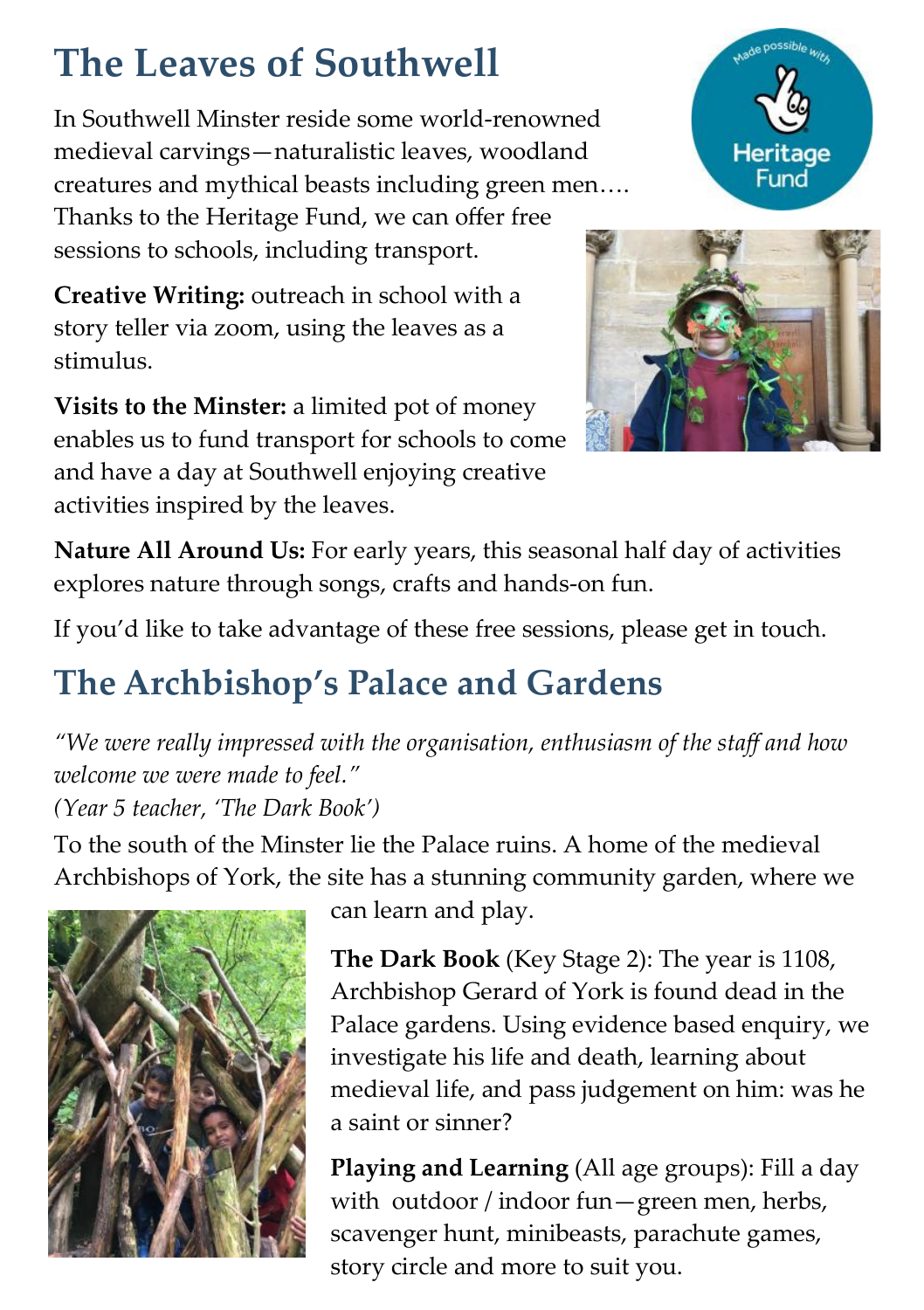# **The Leaves of Southwell**

In Southwell Minster reside some world-renowned medieval carvings—naturalistic leaves, woodland creatures and mythical beasts including green men…. Thanks to the Heritage Fund, we can offer free sessions to schools, including transport.

**Creative Writing:** outreach in school with a story teller via zoom, using the leaves as a stimulus.

**Visits to the Minster:** a limited pot of money enables us to fund transport for schools to come and have a day at Southwell enjoying creative activities inspired by the leaves.



Made possible with

**Nature All Around Us:** For early years, this seasonal half day of activities explores nature through songs, crafts and hands-on fun.

If you'd like to take advantage of these free sessions, please get in touch.

# **The Archbishop's Palace and Gardens**

*"We were really impressed with the organisation, enthusiasm of the staff and how welcome we were made to feel." (Year 5 teacher, 'The Dark Book')*

To the south of the Minster lie the Palace ruins. A home of the medieval Archbishops of York, the site has a stunning community garden, where we



can learn and play.

**The Dark Book** (Key Stage 2): The year is 1108, Archbishop Gerard of York is found dead in the Palace gardens. Using evidence based enquiry, we investigate his life and death, learning about medieval life, and pass judgement on him: was he a saint or sinner?

**Playing and Learning** (All age groups): Fill a day with outdoor / indoor fun—green men, herbs, scavenger hunt, minibeasts, parachute games, story circle and more to suit you.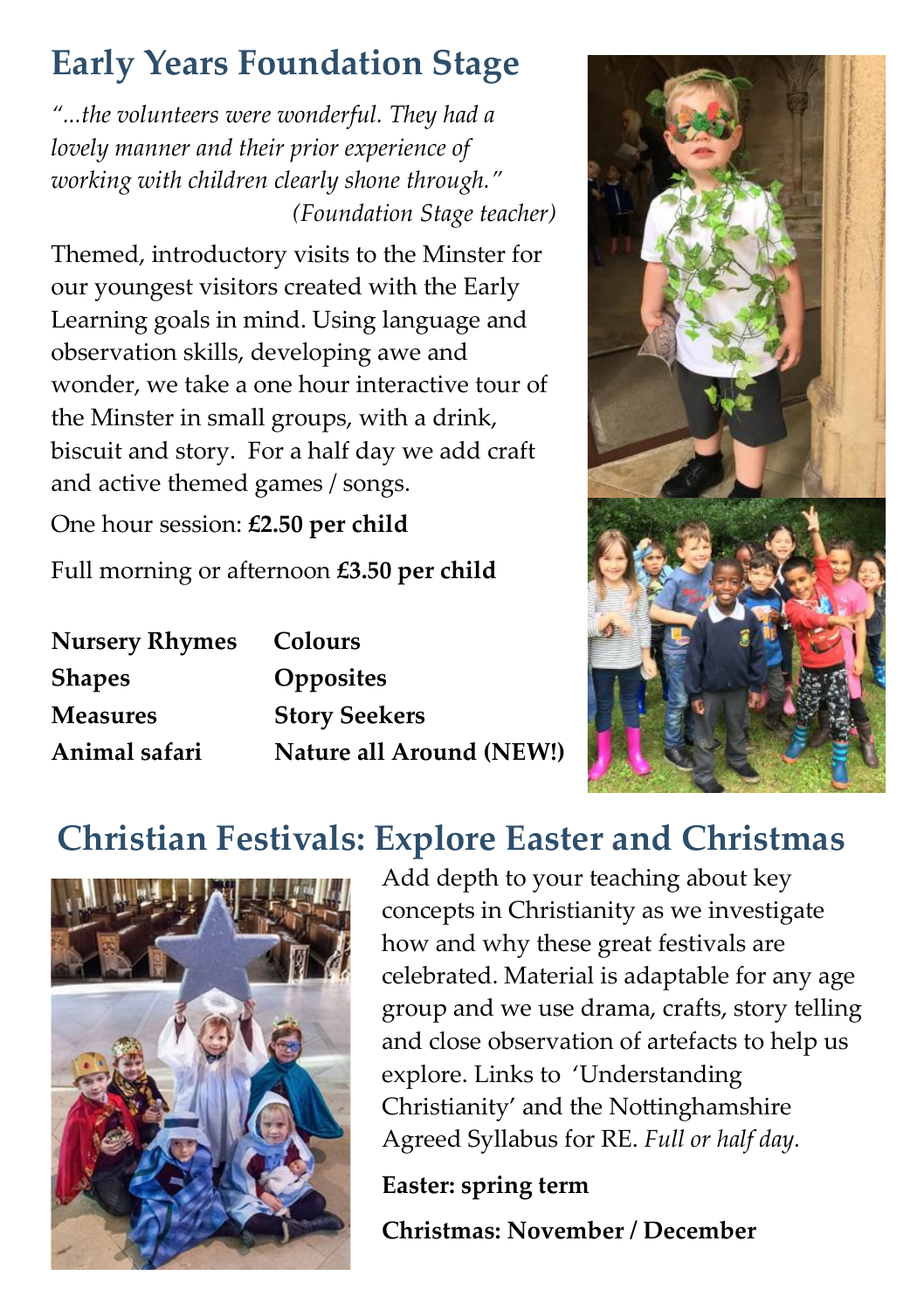# **Early Years Foundation Stage**

*"...the volunteers were wonderful. They had a lovely manner and their prior experience of working with children clearly shone through." (Foundation Stage teacher)*

Themed, introductory visits to the Minster for our youngest visitors created with the Early Learning goals in mind. Using language and observation skills, developing awe and wonder, we take a one hour interactive tour of the Minster in small groups, with a drink, biscuit and story. For a half day we add craft and active themed games / songs.

One hour session: **£2.50 per child**

Full morning or afternoon **£3.50 per child** 

| <b>Nursery Rhymes</b> | Colours                  |
|-----------------------|--------------------------|
| <b>Shapes</b>         | Opposites                |
| Measures              | <b>Story Seekers</b>     |
| Animal safari         | Nature all Around (NEW!) |



### **Christian Festivals: Explore Easter and Christmas**



Add depth to your teaching about key concepts in Christianity as we investigate how and why these great festivals are celebrated. Material is adaptable for any age group and we use drama, crafts, story telling and close observation of artefacts to help us explore. Links to 'Understanding Christianity' and the Nottinghamshire Agreed Syllabus for RE. *Full or half day.*

**Easter: spring term** 

**Christmas: November / December**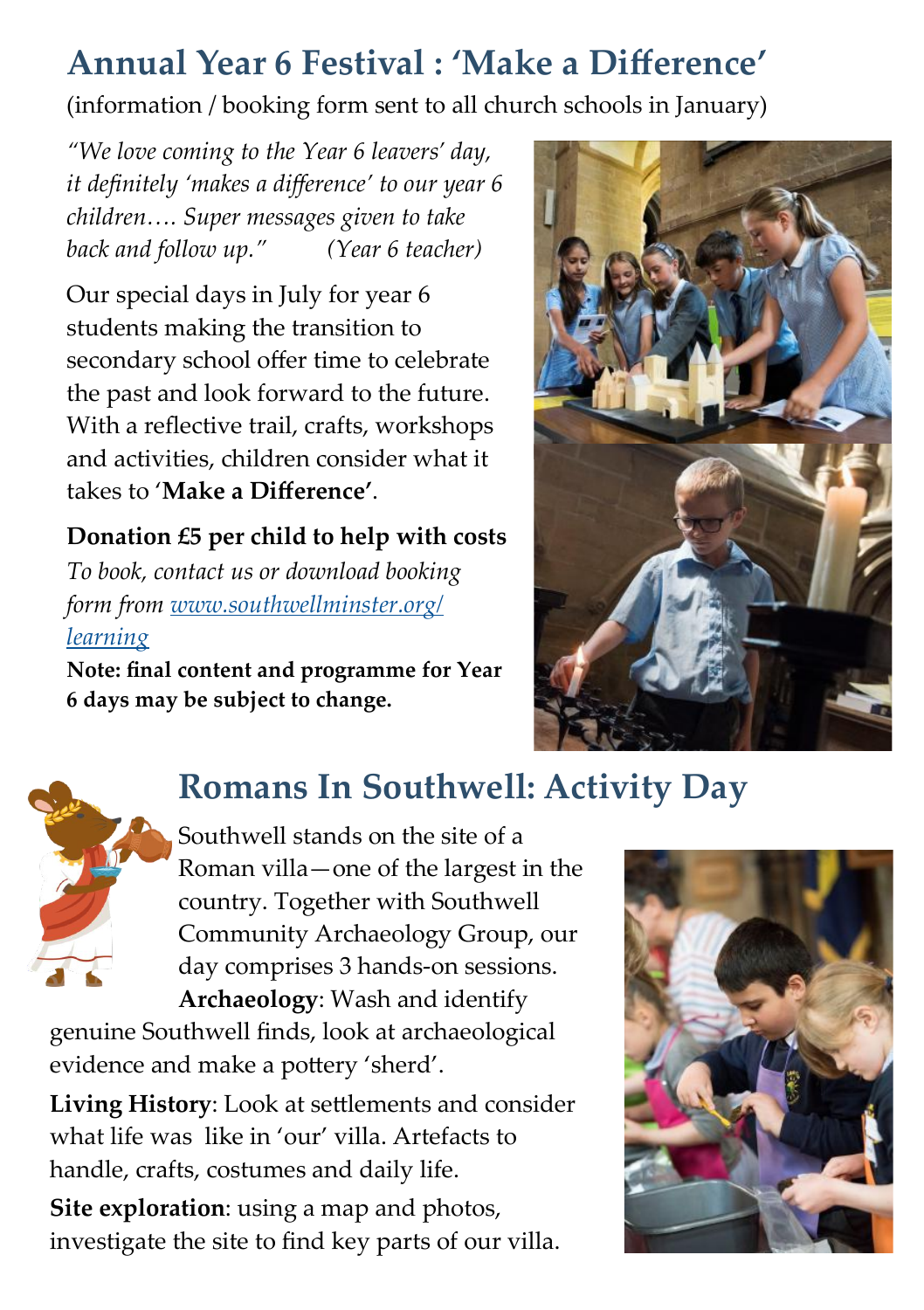### **Annual Year 6 Festival : 'Make a Difference'**

(information / booking form sent to all church schools in January)

*"We love coming to the Year 6 leavers' day, it definitely 'makes a difference' to our year 6 children…. Super messages given to take back and follow up." (Year 6 teacher)*

Our special days in July for year 6 students making the transition to secondary school offer time to celebrate the past and look forward to the future. With a reflective trail, crafts, workshops and activities, children consider what it takes to '**Make a Difference'**.

### **Donation £5 per child to help with costs**

*To book, contact us or download booking form from [www.southwellminster.org/](https://www.southwellminster.org/theme/year-6-festival/) [learning](https://www.southwellminster.org/theme/year-6-festival/)*

**Note: final content and programme for Year 6 days may be subject to change.**



### **Romans In Southwell: Activity Day**

Southwell stands on the site of a Roman villa—one of the largest in the country. Together with Southwell Community Archaeology Group, our day comprises 3 hands-on sessions.

**Archaeology**: Wash and identify genuine Southwell finds, look at archaeological evidence and make a pottery 'sherd'.

**Living History**: Look at settlements and consider what life was like in 'our' villa. Artefacts to handle, crafts, costumes and daily life. **Site exploration**: using a map and photos,

investigate the site to find key parts of our villa.

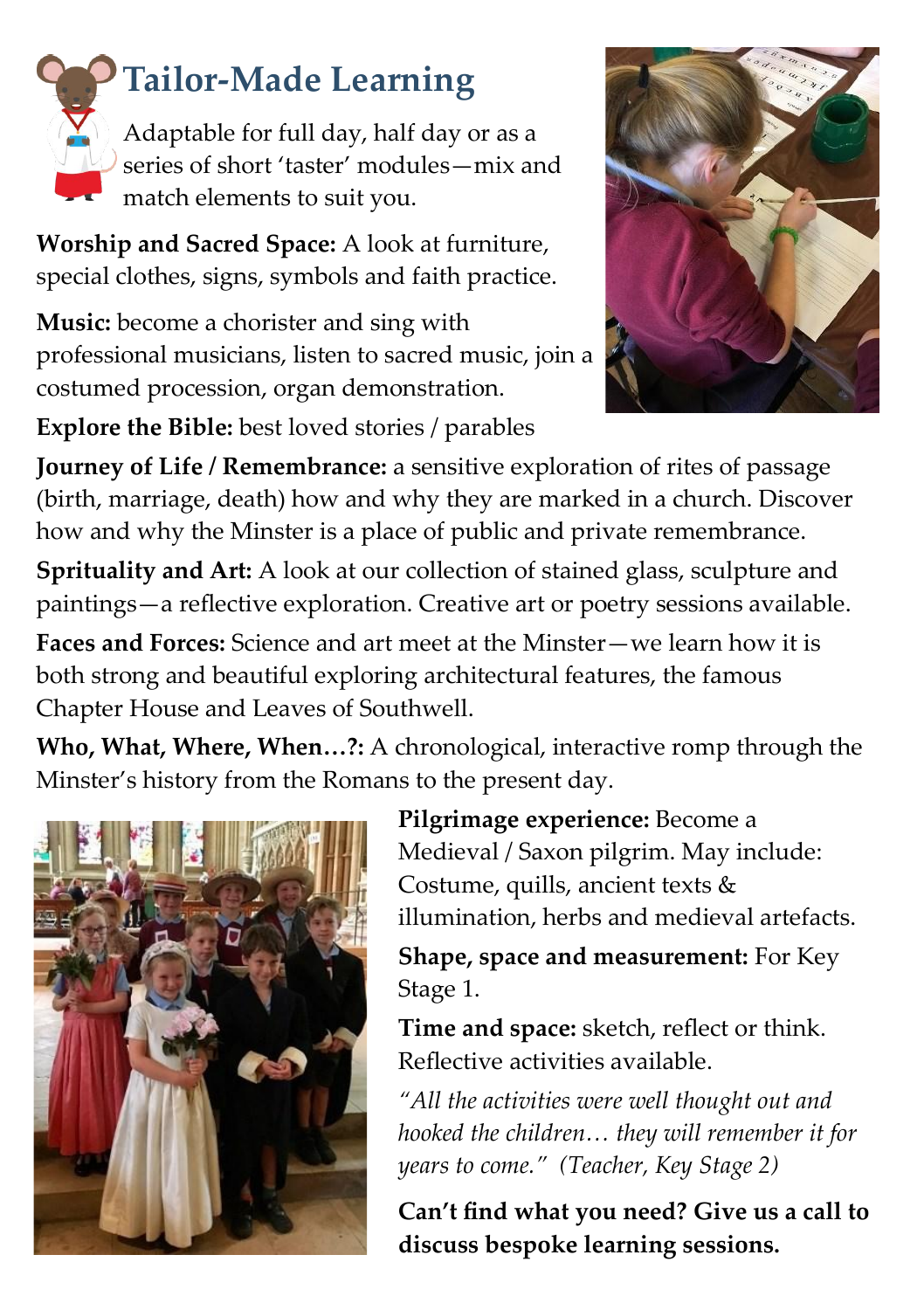

# **Tailor-Made Learning**

Adaptable for full day, half day or as a series of short 'taster' modules—mix and match elements to suit you.

**Worship and Sacred Space:** A look at furniture, special clothes, signs, symbols and faith practice.

**Music:** become a chorister and sing with professional musicians, listen to sacred music, join a costumed procession, organ demonstration.

**Explore the Bible:** best loved stories / parables



**Journey of Life / Remembrance:** a sensitive exploration of rites of passage (birth, marriage, death) how and why they are marked in a church. Discover how and why the Minster is a place of public and private remembrance.

**Sprituality and Art:** A look at our collection of stained glass, sculpture and paintings—a reflective exploration. Creative art or poetry sessions available.

**Faces and Forces:** Science and art meet at the Minster—we learn how it is both strong and beautiful exploring architectural features, the famous Chapter House and Leaves of Southwell.

**Who, What, Where, When…?:** A chronological, interactive romp through the Minster's history from the Romans to the present day.



**Pilgrimage experience:** Become a Medieval / Saxon pilgrim. May include: Costume, quills, ancient texts & illumination, herbs and medieval artefacts.

**Shape, space and measurement:** For Key Stage 1.

**Time and space:** sketch, reflect or think. Reflective activities available.

*"All the activities were well thought out and hooked the children… they will remember it for years to come." (Teacher, Key Stage 2)*

**Can't find what you need? Give us a call to discuss bespoke learning sessions.**